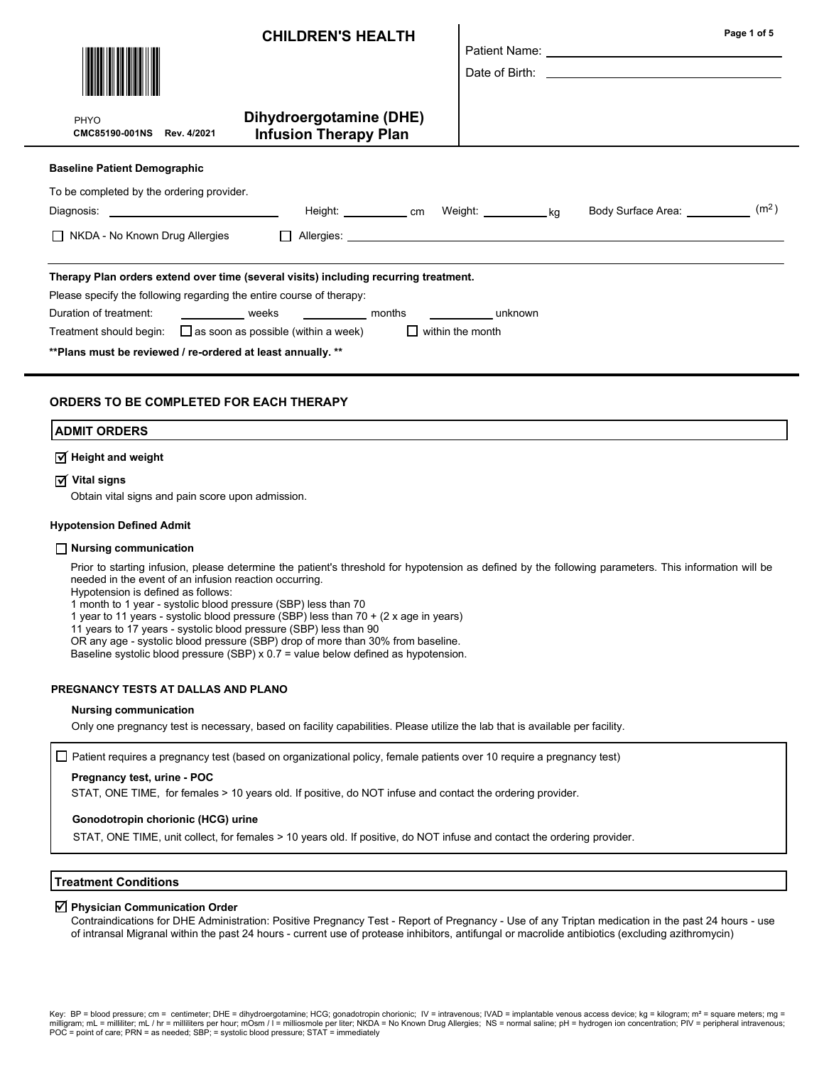|                                                                                            | <b>CHILDREN'S HEALTH</b>                                                                |  |                               | Page 1 of 5       |  |  |
|--------------------------------------------------------------------------------------------|-----------------------------------------------------------------------------------------|--|-------------------------------|-------------------|--|--|
| PHYO<br>CMC85190-001NS Rev. 4/2021                                                         | Dihydroergotamine (DHE)<br><b>Infusion Therapy Plan</b>                                 |  |                               |                   |  |  |
| <b>Baseline Patient Demographic</b>                                                        |                                                                                         |  |                               |                   |  |  |
| To be completed by the ordering provider.                                                  | Height: ____________ cm Weight: ____________ kg                                         |  | Body Surface Area: __________ | (m <sup>2</sup> ) |  |  |
| $\Box$ NKDA - No Known Drug Allergies                                                      | <b>Contract Contract State</b>                                                          |  |                               |                   |  |  |
| Therapy Plan orders extend over time (several visits) including recurring treatment.       |                                                                                         |  |                               |                   |  |  |
| Please specify the following regarding the entire course of therapy:                       |                                                                                         |  |                               |                   |  |  |
|                                                                                            | Duration of treatment: _______________ weeks ____________ months ______________ unknown |  |                               |                   |  |  |
| Treatment should begin: $\Box$ as soon as possible (within a week) $\Box$ within the month |                                                                                         |  |                               |                   |  |  |
| ** Plans must be reviewed / re-ordered at least annually. **                               |                                                                                         |  |                               |                   |  |  |

#### ORDERS TO BE COMPLETED FOR EACH THERAPY

#### ADMIT ORDERS

# $\overline{\mathsf{y}}$  Height and weight

# $\overline{\textsf{y}}$  Vital signs

Obtain vital signs and pain score upon admission.

#### Hypotension Defined Admit

#### Nursing communication

Prior to starting infusion, please determine the patient's threshold for hypotension as defined by the following parameters. This information will be needed in the event of an infusion reaction occurring.

Hypotension is defined as follows:

1 month to 1 year - systolic blood pressure (SBP) less than 70

1 year to 11 years - systolic blood pressure (SBP) less than 70 + (2 x age in years)

11 years to 17 years - systolic blood pressure (SBP) less than 90

OR any age - systolic blood pressure (SBP) drop of more than 30% from baseline.

Baseline systolic blood pressure (SBP) x  $0.7$  = value below defined as hypotension.

#### PREGNANCY TESTS AT DALLAS AND PLANO

#### Nursing communication

Only one pregnancy test is necessary, based on facility capabilities. Please utilize the lab that is available per facility.

 $\Box$  Patient requires a pregnancy test (based on organizational policy, female patients over 10 require a pregnancy test)

#### Pregnancy test, urine - POC

STAT, ONE TIME, for females > 10 years old. If positive, do NOT infuse and contact the ordering provider.

#### Gonodotropin chorionic (HCG) urine

STAT, ONE TIME, unit collect, for females > 10 years old. If positive, do NOT infuse and contact the ordering provider.

#### Treatment Conditions

# $\boxtimes$  Physician Communication Order

Contraindications for DHE Administration: Positive Pregnancy Test - Report of Pregnancy - Use of any Triptan medication in the past 24 hours - use of intransal Migranal within the past 24 hours - current use of protease inhibitors, antifungal or macrolide antibiotics (excluding azithromycin)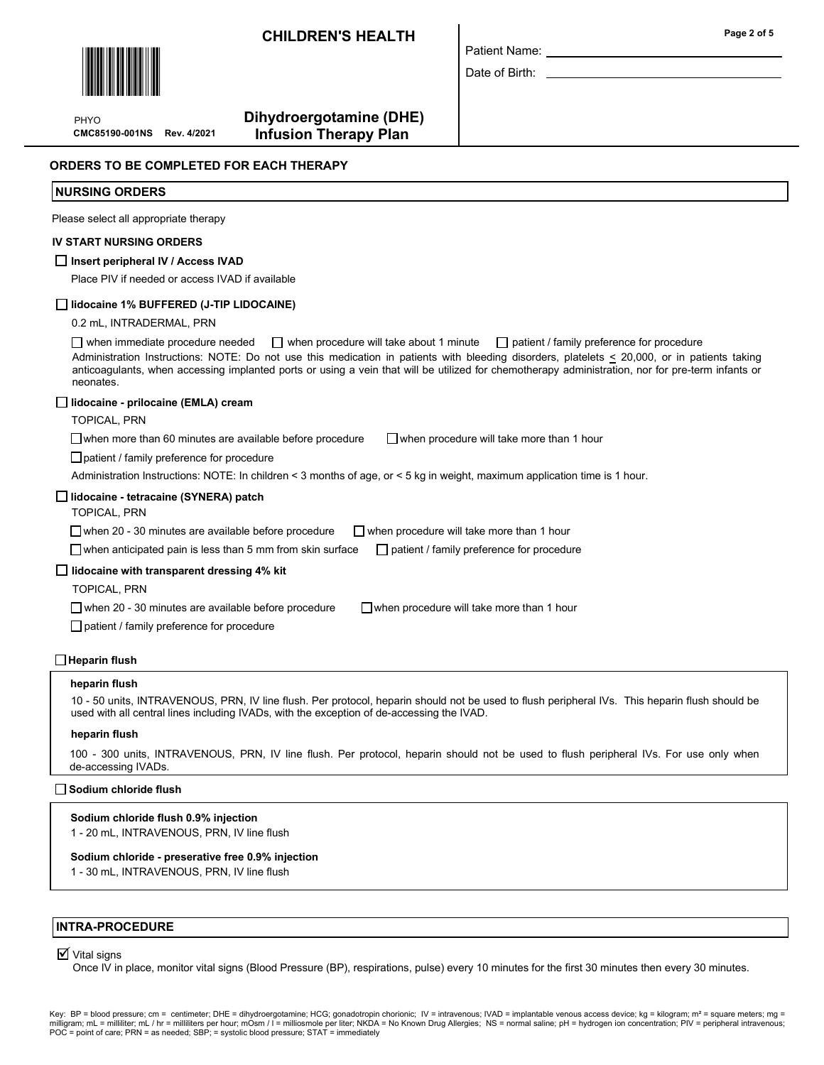# CHILDREN'S HEALTH



PHYO

 Dihydroergotamine (DHE) CMC85190-001NS Rev. 4/2021 Infusion Therapy Plan

#### ORDERS TO BE COMPLETED FOR EACH THERAPY

#### NURSING ORDERS

Please select all appropriate therapy

#### IV START NURSING ORDERS

#### $\Box$  Insert peripheral IV / Access IVAD

Place PIV if needed or access IVAD if available

#### lidocaine 1% BUFFERED (J-TIP LIDOCAINE)

0.2 mL, INTRADERMAL, PRN

when immediate procedure needed  $\Box$  when procedure will take about 1 minute  $\Box$  patient / family preference for procedure Administration Instructions: NOTE: Do not use this medication in patients with bleeding disorders, platelets < 20,000, or in patients taking anticoagulants, when accessing implanted ports or using a vein that will be utilized for chemotherapy administration, nor for pre-term infants or neonates.

Patient Name: Date of Birth:

#### lidocaine - prilocaine (EMLA) cream

TOPICAL, PRN

 $\Box$  when more than 60 minutes are available before procedure  $\Box$  when procedure will take more than 1 hour

□ patient / family preference for procedure

Administration Instructions: NOTE: In children < 3 months of age, or < 5 kg in weight, maximum application time is 1 hour.

#### lidocaine - tetracaine (SYNERA) patch

TOPICAL, PRN

 $\Box$  when 20 - 30 minutes are available before procedure  $\Box$  when procedure will take more than 1 hour

 $\Box$  when anticipated pain is less than 5 mm from skin surface  $\Box$  patient / family preference for procedure

#### $\Box$  lidocaine with transparent dressing 4% kit

TOPICAL, PRN

 $\Box$  when 20 - 30 minutes are available before procedure  $\Box$  when procedure will take more than 1 hour

patient / family preference for procedure

#### $\Box$  Heparin flush

#### heparin flush

10 - 50 units, INTRAVENOUS, PRN, IV line flush. Per protocol, heparin should not be used to flush peripheral IVs. This heparin flush should be used with all central lines including IVADs, with the exception of de-accessing the IVAD.

#### heparin flush

100 - 300 units, INTRAVENOUS, PRN, IV line flush. Per protocol, heparin should not be used to flush peripheral IVs. For use only when de-accessing IVADs.

## □ Sodium chloride flush

#### Sodium chloride flush 0.9% injection

1 - 20 mL, INTRAVENOUS, PRN, IV line flush

#### Sodium chloride - preserative free 0.9% injection

1 - 30 mL, INTRAVENOUS, PRN, IV line flush

#### INTRA-PROCEDURE

# $\overline{\mathsf{y}}$  Vital signs

Once IV in place, monitor vital signs (Blood Pressure (BP), respirations, pulse) every 10 minutes for the first 30 minutes then every 30 minutes.

Key: BP = blood pressure; cm = centimeter; DHE = dihydroergotamine; HCG; gonadotropin chorionic; IV = intravenous; IVAD = implantable venous access device; kg = kilogram; m<sup>2</sup> = square meters; mg = milligram; mL = milliliter; mL / hr = milliliters per hour; mOsm / I = milliosmole per liter; NKDA = No Known Drug Allergies; NS = normal saline; pH = hydrogen ion concentration; PIV = peripheral intravenous;<br>POC = point

Page 2 of 5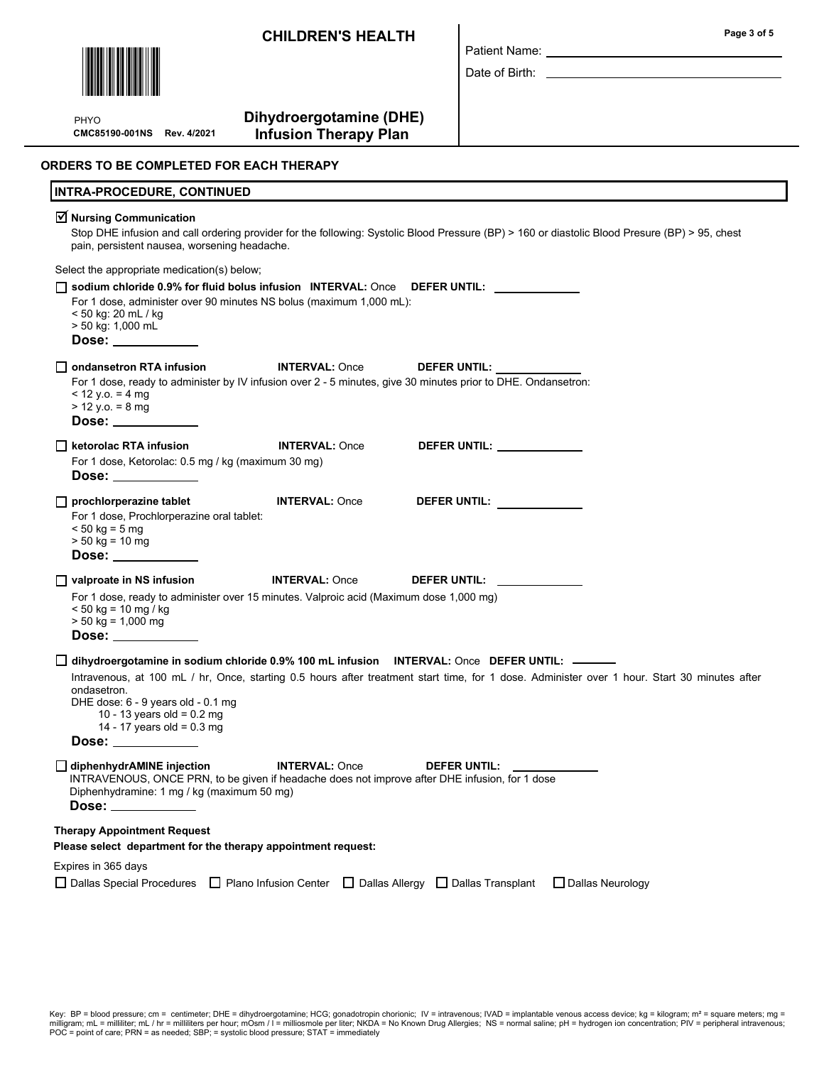CHILDREN'S HEALTH



PHYO

# Dihydroergotamine (DHE)

CMC85190-001NS Rev. 4/2021 Infusion Therapy Plan

| Patient Name: |  |
|---------------|--|

Date of Birth:

ORDERS TO BE COMPLETED FOR EACH THERAPY

| <b>INTRA-PROCEDURE, CONTINUED</b>                                                                                                                                                                                                                                                                                                                                                                                                                           |  |  |  |  |  |  |
|-------------------------------------------------------------------------------------------------------------------------------------------------------------------------------------------------------------------------------------------------------------------------------------------------------------------------------------------------------------------------------------------------------------------------------------------------------------|--|--|--|--|--|--|
| ☑ Nursing Communication<br>Stop DHE infusion and call ordering provider for the following: Systolic Blood Pressure (BP) > 160 or diastolic Blood Presure (BP) > 95, chest<br>pain, persistent nausea, worsening headache.                                                                                                                                                                                                                                   |  |  |  |  |  |  |
| Select the appropriate medication(s) below;                                                                                                                                                                                                                                                                                                                                                                                                                 |  |  |  |  |  |  |
| $\Box$ sodium chloride 0.9% for fluid bolus infusion $\Box$ INTERVAL: Once DEFER UNTIL:<br>For 1 dose, administer over 90 minutes NS bolus (maximum 1,000 mL):<br>< 50 kg: 20 mL / kg<br>> 50 kg: 1,000 mL<br>Dose: ___________                                                                                                                                                                                                                             |  |  |  |  |  |  |
| <b>INTERVAL: Once</b><br>DEFER UNTIL:<br>For 1 dose, ready to administer by IV infusion over 2 - 5 minutes, give 30 minutes prior to DHE. Ondansetron:<br>$<$ 12 y.o. = 4 mg<br>$> 12$ y.o. = 8 mg<br>Dose: ___________                                                                                                                                                                                                                                     |  |  |  |  |  |  |
| DEFER UNTIL: ___________<br>ketorolac RTA infusion<br><b>INTERVAL: Once</b><br>For 1 dose, Ketorolac: 0.5 mg / kg (maximum 30 mg)<br>Dose: $\_\_$                                                                                                                                                                                                                                                                                                           |  |  |  |  |  |  |
| $\Box$ prochlorperazine tablet<br><b>INTERVAL: Once</b><br>DEFER UNTIL: _____________<br>For 1 dose, Prochlorperazine oral tablet:<br>$< 50$ kg = 5 mg<br>$> 50$ kg = 10 mg<br>Dose: ___________                                                                                                                                                                                                                                                            |  |  |  |  |  |  |
| $\Box$ valproate in NS infusion<br><b>INTERVAL: Once</b><br>DEFER UNTIL: University of the University of the University of the University of the University of the University of the University of the University of the University of the University of the University of the University<br>For 1 dose, ready to administer over 15 minutes. Valproic acid (Maximum dose 1,000 mg)<br>$< 50$ kg = 10 mg / kg<br>$> 50$ kg = 1,000 mg<br>Dose: ____________ |  |  |  |  |  |  |
| dihydroergotamine in sodium chloride 0.9% 100 mL infusion INTERVAL: Once DEFER UNTIL: $\frac{1}{2}$<br>Intravenous, at 100 mL / hr, Once, starting 0.5 hours after treatment start time, for 1 dose. Administer over 1 hour. Start 30 minutes after<br>ondasetron.<br>DHE dose: 6 - 9 years old - 0.1 mg<br>10 - 13 years old = $0.2$ mg<br>14 - 17 years old = $0.3$ mg<br>Dose: $\_\_$                                                                    |  |  |  |  |  |  |
| diphenhydrAMINE injection<br><b>INTERVAL: Once</b><br>DEFER UNTIL:<br>INTRAVENOUS, ONCE PRN, to be given if headache does not improve after DHE infusion, for 1 dose<br>Diphenhydramine: 1 mg / kg (maximum 50 mg)<br>Dose: _                                                                                                                                                                                                                               |  |  |  |  |  |  |
| <b>Therapy Appointment Request</b><br>Please select department for the therapy appointment request:                                                                                                                                                                                                                                                                                                                                                         |  |  |  |  |  |  |
| Expires in 365 days<br>$\Box$ Dallas Special Procedures<br>$\Box$ Plano Infusion Center $\Box$ Dallas Allergy $\Box$ Dallas Transplant<br>□ Dallas Neurology                                                                                                                                                                                                                                                                                                |  |  |  |  |  |  |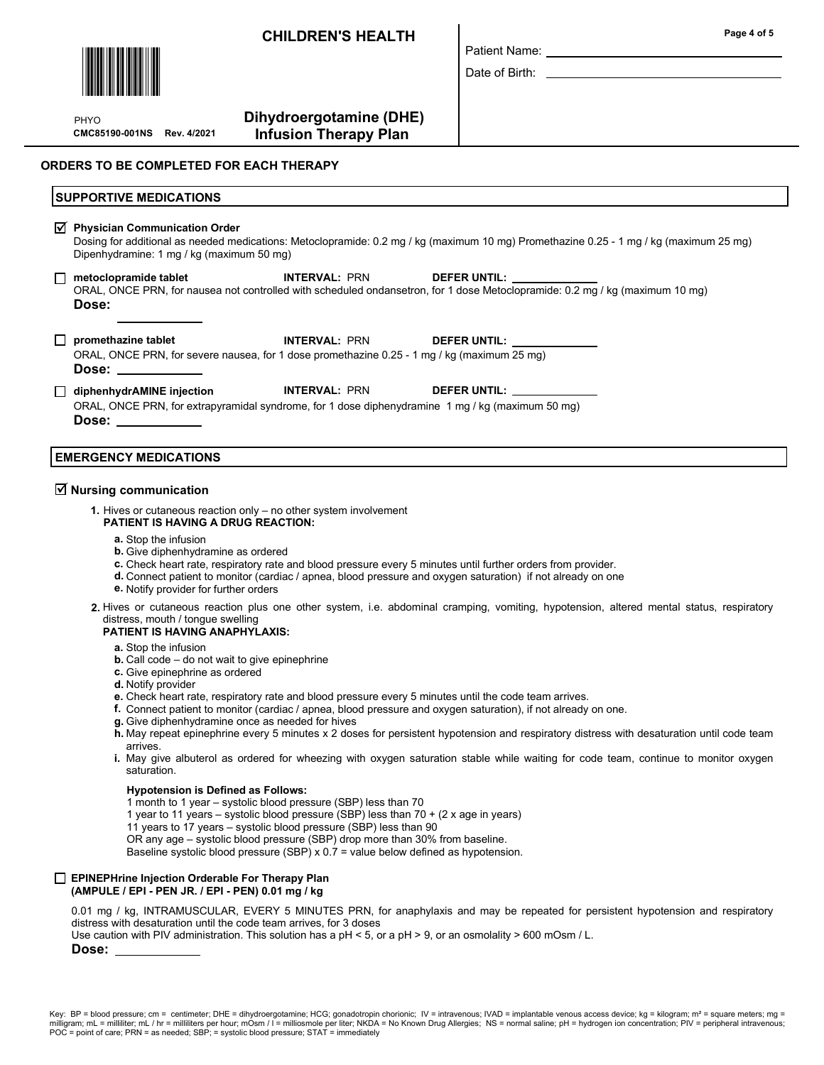# CHILDREN'S HEALTH



PHYO

# Dihydroergotamine (DHE) CMC85190-001NS Rev. 4/2021 Infusion Therapy Plan

#### ORDERS TO BE COMPLETED FOR EACH THERAPY

| <b>SUPPORTIVE MEDICATIONS</b>                                                                                                                                                                                                                                                                                                                                          |                      |                                                                                                                                                                                                                                |  |  |  |  |
|------------------------------------------------------------------------------------------------------------------------------------------------------------------------------------------------------------------------------------------------------------------------------------------------------------------------------------------------------------------------|----------------------|--------------------------------------------------------------------------------------------------------------------------------------------------------------------------------------------------------------------------------|--|--|--|--|
| $\sqrt{ }$ Physician Communication Order<br>Dosing for additional as needed medications: Metoclopramide: 0.2 mg / kg (maximum 10 mg) Promethazine 0.25 - 1 mg / kg (maximum 25 mg)<br>Dipenhydramine: 1 mg / kg (maximum 50 mg)                                                                                                                                        |                      |                                                                                                                                                                                                                                |  |  |  |  |
| □ metoclopramide tablet         INTERVAL: PRN      DEFER UNTIL: _______________<br>Dose:                                                                                                                                                                                                                                                                               |                      | ORAL, ONCE PRN, for nausea not controlled with scheduled ondansetron, for 1 dose Metoclopramide: 0.2 mg / kg (maximum 10 mg)                                                                                                   |  |  |  |  |
| promethazine tablet<br>ORAL, ONCE PRN, for severe nausea, for 1 dose promethazine 0.25 - 1 mg / kg (maximum 25 mg)<br>Dose:                                                                                                                                                                                                                                            |                      | INTERVAL: PRN DEFER UNTIL: UNITERVAL: PRN                                                                                                                                                                                      |  |  |  |  |
| $\Box$ diphenhydrAMINE injection<br>ORAL, ONCE PRN, for extrapyramidal syndrome, for 1 dose diphenydramine 1 mg / kg (maximum 50 mg)<br>Dose: the contract of the contract of the contract of the contract of the contract of the contract of the contract of the contract of the contract of the contract of the contract of the contract of the contract of the cont | <b>INTERVAL: PRN</b> | DEFER UNTIL: The contract of the contract of the contract of the contract of the contract of the contract of the contract of the contract of the contract of the contract of the contract of the contract of the contract of t |  |  |  |  |

Patient Name: Date of Birth:

# EMERGENCY MEDICATIONS

# $\overline{\trianglelefteq}$  Nursing communication

- 1. Hives or cutaneous reaction only no other system involvement PATIENT IS HAVING A DRUG REACTION:
	- a. Stop the infusion
	- **b.** Give diphenhydramine as ordered
	- c. Check heart rate, respiratory rate and blood pressure every 5 minutes until further orders from provider.
	- d. Connect patient to monitor (cardiac / apnea, blood pressure and oxygen saturation) if not already on one
	- e. Notify provider for further orders
- 2. Hives or cutaneous reaction plus one other system, i.e. abdominal cramping, vomiting, hypotension, altered mental status, respiratory distress, mouth / tongue swelling

#### PATIENT IS HAVING ANAPHYLAXIS:

- a. Stop the infusion
- **b.** Call code  $-$  do not wait to give epinephrine
- c. Give epinephrine as ordered
- d. Notify provider
- e. Check heart rate, respiratory rate and blood pressure every 5 minutes until the code team arrives.
- f. Connect patient to monitor (cardiac / apnea, blood pressure and oxygen saturation), if not already on one.
- g. Give diphenhydramine once as needed for hives
- h. May repeat epinephrine every 5 minutes x 2 doses for persistent hypotension and respiratory distress with desaturation until code team arrives.
- **i**. May give albuterol as ordered for wheezing with oxygen saturation stable while waiting for code team, continue to monitor oxygen saturation.

#### Hypotension is Defined as Follows:

- 1 month to 1 year systolic blood pressure (SBP) less than 70
- 1 year to 11 years systolic blood pressure (SBP) less than 70 + (2 x age in years)
- 11 years to 17 years systolic blood pressure (SBP) less than 90

OR any age – systolic blood pressure (SBP) drop more than 30% from baseline.

Baseline systolic blood pressure (SBP) x 0.7 = value below defined as hypotension.

#### **EPINEPHrine Injection Orderable For Therapy Plan** (AMPULE / EPI - PEN JR. / EPI - PEN) 0.01 mg / kg

0.01 mg / kg, INTRAMUSCULAR, EVERY 5 MINUTES PRN, for anaphylaxis and may be repeated for persistent hypotension and respiratory distress with desaturation until the code team arrives, for 3 doses

Use caution with PIV administration. This solution has a pH < 5, or a pH > 9, or an osmolality > 600 mOsm / L.

#### Dose: